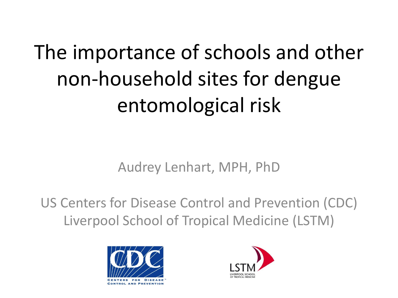The importance of schools and other non-household sites for dengue entomological risk

Audrey Lenhart, MPH, PhD

US Centers for Disease Control and Prevention (CDC) Liverpool School of Tropical Medicine (LSTM)



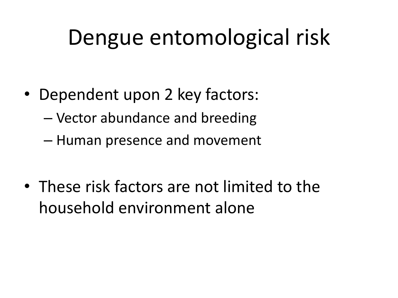## Dengue entomological risk

- Dependent upon 2 key factors:
	- Vector abundance and breeding
	- Human presence and movement
- These risk factors are not limited to the household environment alone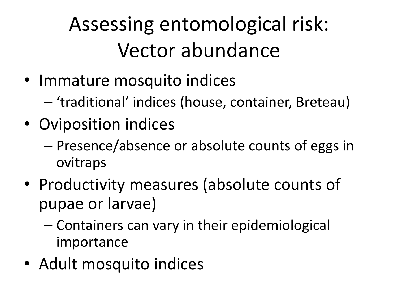### Assessing entomological risk: Vector abundance

- Immature mosquito indices
	- 'traditional' indices (house, container, Breteau)
- Oviposition indices
	- Presence/absence or absolute counts of eggs in ovitraps
- Productivity measures (absolute counts of pupae or larvae)
	- Containers can vary in their epidemiological importance
- Adult mosquito indices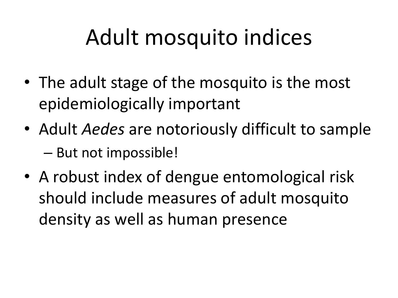# Adult mosquito indices

- The adult stage of the mosquito is the most epidemiologically important
- Adult *Aedes* are notoriously difficult to sample – But not impossible!
- A robust index of dengue entomological risk should include measures of adult mosquito density as well as human presence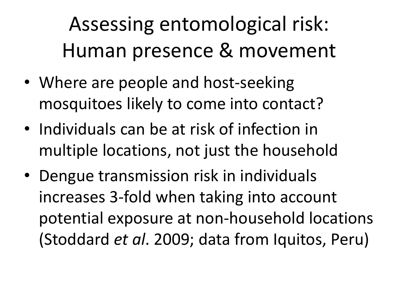Assessing entomological risk: Human presence & movement

- Where are people and host-seeking mosquitoes likely to come into contact?
- Individuals can be at risk of infection in multiple locations, not just the household
- Dengue transmission risk in individuals increases 3-fold when taking into account potential exposure at non-household locations (Stoddard *et al*. 2009; data from Iquitos, Peru)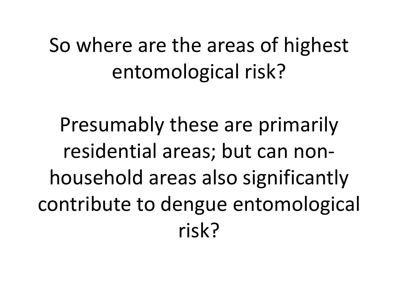#### So where are the areas of highest entomological risk?

Presumably these are primarily residential areas; but can nonhousehold areas also significantly contribute to dengue entomological risk?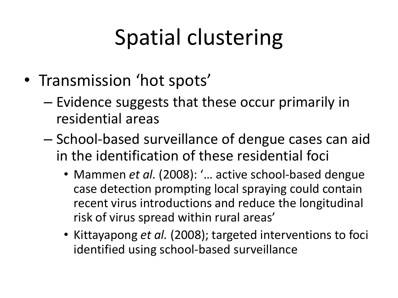# Spatial clustering

- Transmission 'hot spots'
	- Evidence suggests that these occur primarily in residential areas
	- School-based surveillance of dengue cases can aid in the identification of these residential foci
		- Mammen *et al.* (2008): '... active school-based dengue case detection prompting local spraying could contain recent virus introductions and reduce the longitudinal risk of virus spread within rural areas'
		- Kittayapong *et al.* (2008); targeted interventions to foci identified using school-based surveillance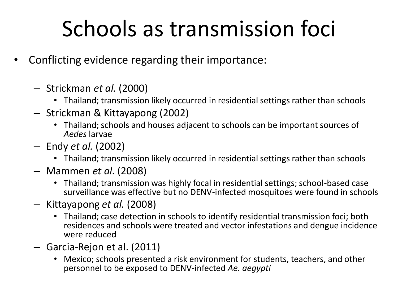# Schools as transmission foci

- Conflicting evidence regarding their importance:
	- Strickman *et al.* (2000)
		- Thailand; transmission likely occurred in residential settings rather than schools
	- Strickman & Kittayapong (2002)
		- Thailand; schools and houses adjacent to schools can be important sources of *Aedes* larvae
	- Endy *et al.* (2002)
		- Thailand; transmission likely occurred in residential settings rather than schools
	- Mammen *et al.* (2008)
		- Thailand; transmission was highly focal in residential settings; school-based case surveillance was effective but no DENV-infected mosquitoes were found in schools
	- Kittayapong *et al.* (2008)
		- Thailand; case detection in schools to identify residential transmission foci; both residences and schools were treated and vector infestations and dengue incidence were reduced
	- Garcia-Rejon et al. (2011)
		- Mexico; schools presented a risk environment for students, teachers, and other personnel to be exposed to DENV-infected *Ae. aegypti*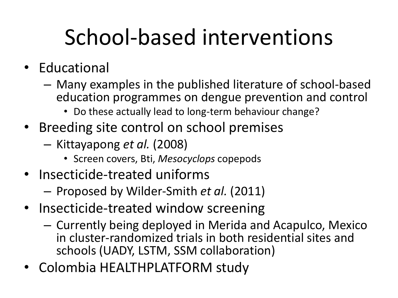# School-based interventions

- Educational
	- Many examples in the published literature of school-based education programmes on dengue prevention and control
		- Do these actually lead to long-term behaviour change?
- Breeding site control on school premises
	- Kittayapong *et al.* (2008)
		- Screen covers, Bti, *Mesocyclops* copepods
- Insecticide-treated uniforms
	- Proposed by Wilder-Smith *et al.* (2011)
- Insecticide-treated window screening
	- Currently being deployed in Merida and Acapulco, Mexico in cluster-randomized trials in both residential sites and schools (UADY, LSTM, SSM collaboration)
- Colombia HEALTHPLATFORM study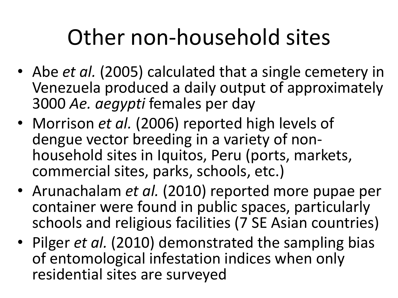## Other non-household sites

- Abe *et al.* (2005) calculated that a single cemetery in Venezuela produced a daily output of approximately 3000 *Ae. aegypti* females per day
- Morrison *et al.* (2006) reported high levels of dengue vector breeding in a variety of nonhousehold sites in Iquitos, Peru (ports, markets, commercial sites, parks, schools, etc.)
- Arunachalam *et al.* (2010) reported more pupae per container were found in public spaces, particularly schools and religious facilities (7 SE Asian countries)
- Pilger *et al.* (2010) demonstrated the sampling bias of entomological infestation indices when only residential sites are surveyed